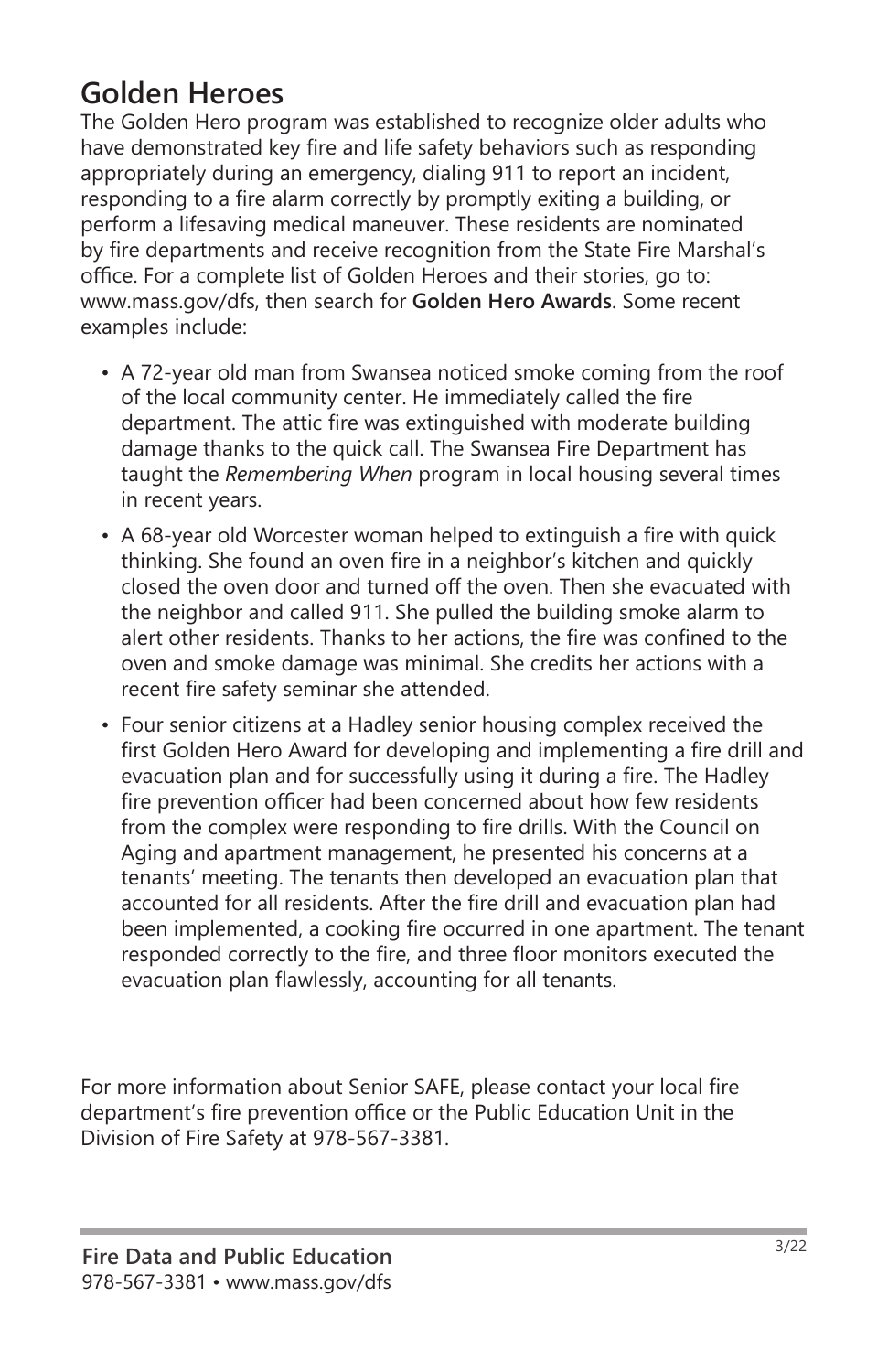# **Golden Heroes**

The Golden Hero program was established to recognize older adults who have demonstrated key fire and life safety behaviors such as responding appropriately during an emergency, dialing 911 to report an incident, responding to a fire alarm correctly by promptly exiting a building, or perform a lifesaving medical maneuver. These residents are nominated by fire departments and receive recognition from the State Fire Marshal's office. For a complete list of Golden Heroes and their stories, go to: www.mass.gov/dfs, then search for **Golden Hero Awards**. Some recent examples include:

- A 72-year old man from Swansea noticed smoke coming from the roof of the local community center. He immediately called the fire department. The attic fire was extinguished with moderate building damage thanks to the quick call. The Swansea Fire Department has taught the *Remembering When* program in local housing several times in recent years.
- A 68-year old Worcester woman helped to extinguish a fire with quick thinking. She found an oven fire in a neighbor's kitchen and quickly closed the oven door and turned off the oven. Then she evacuated with the neighbor and called 911. She pulled the building smoke alarm to alert other residents. Thanks to her actions, the fire was confined to the oven and smoke damage was minimal. She credits her actions with a recent fire safety seminar she attended.
- Four senior citizens at a Hadley senior housing complex received the first Golden Hero Award for developing and implementing a fire drill and evacuation plan and for successfully using it during a fire. The Hadley fire prevention officer had been concerned about how few residents from the complex were responding to fire drills. With the Council on Aging and apartment management, he presented his concerns at a tenants' meeting. The tenants then developed an evacuation plan that accounted for all residents. After the fire drill and evacuation plan had been implemented, a cooking fire occurred in one apartment. The tenant responded correctly to the fire, and three floor monitors executed the evacuation plan flawlessly, accounting for all tenants.

For more information about Senior SAFE, please contact your local fire department's fire prevention office or the Public Education Unit in the Division of Fire Safety at 978-567-3381.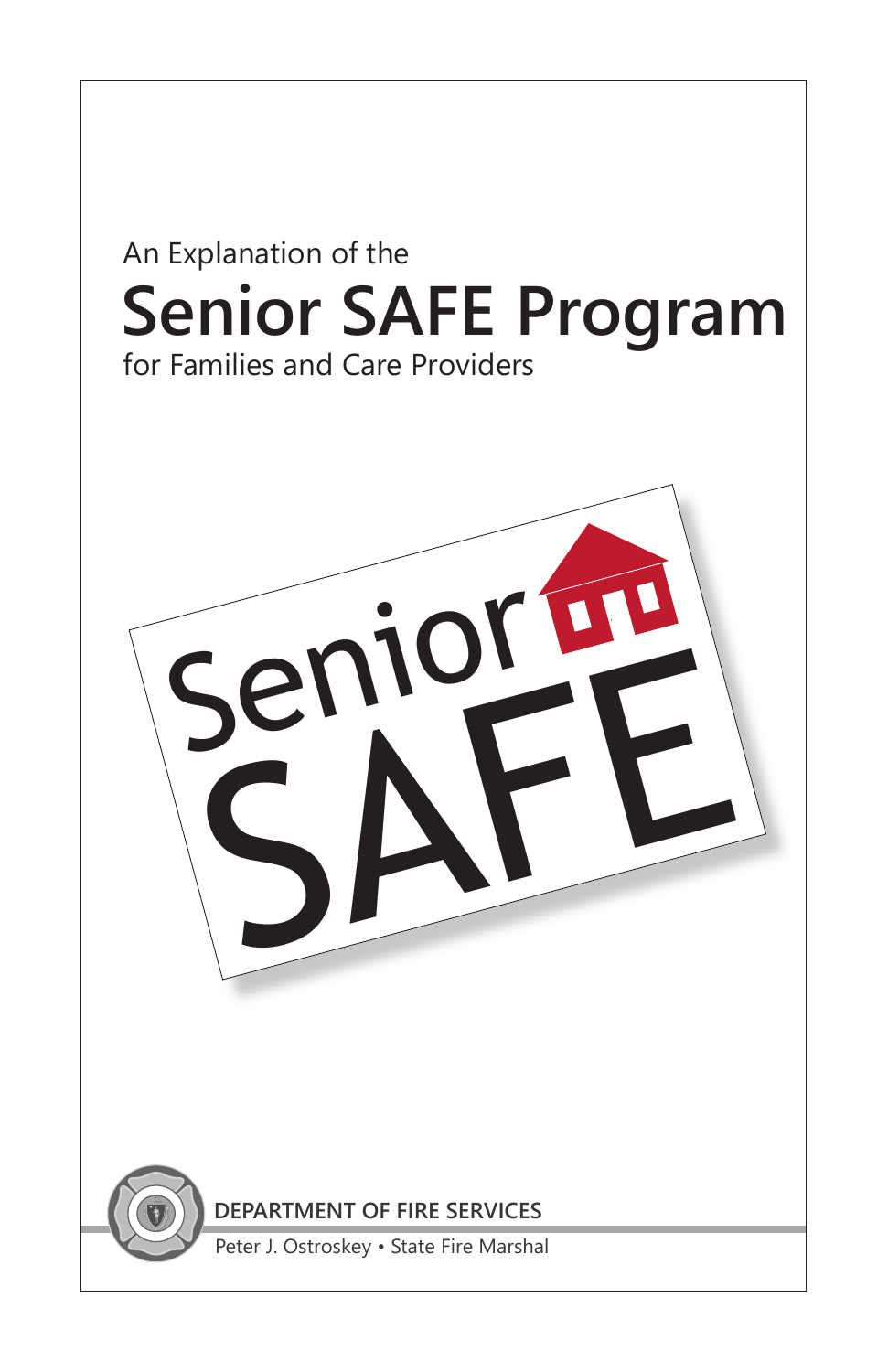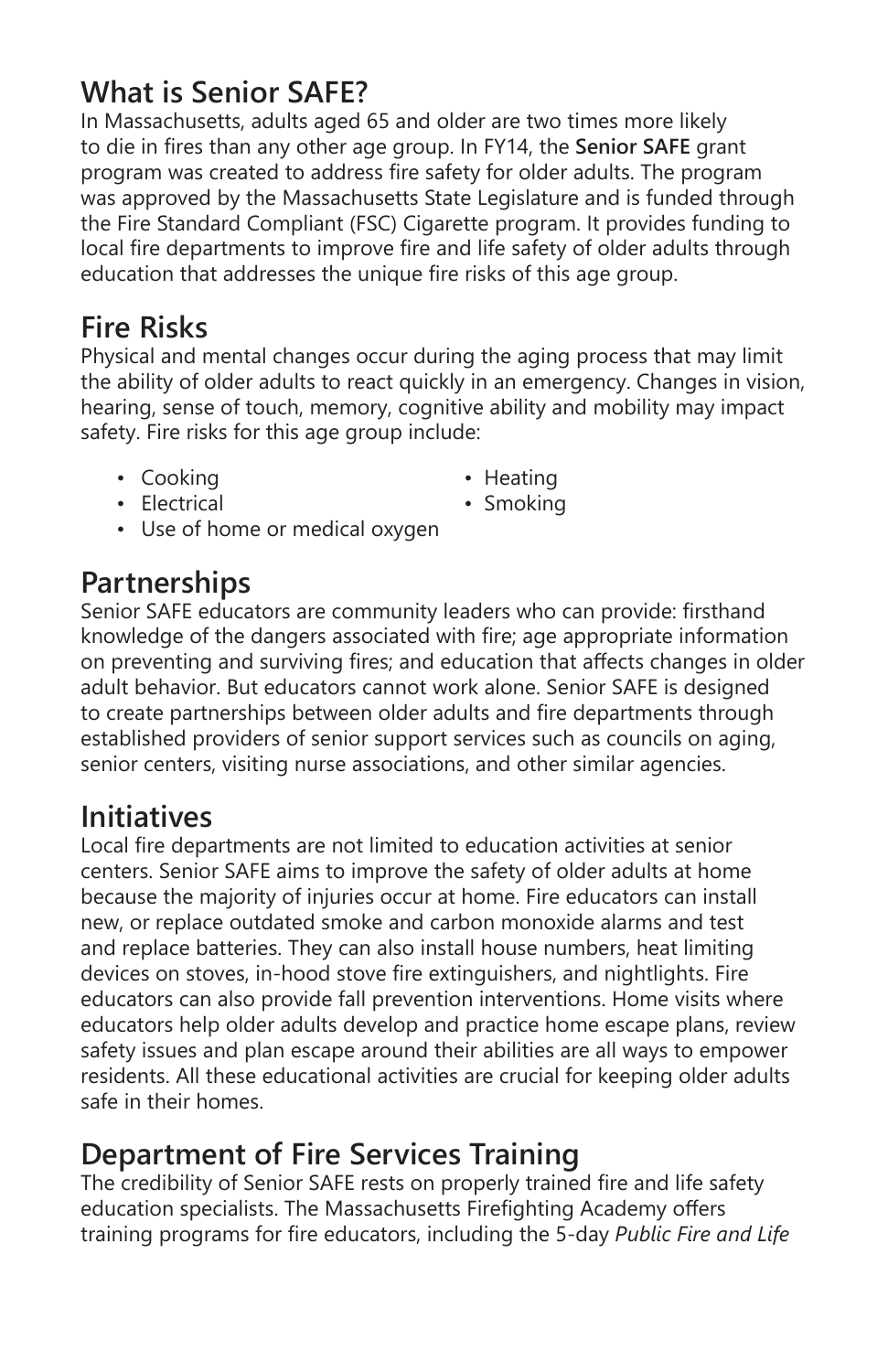# **What is Senior SAFE?**

In Massachusetts, adults aged 65 and older are two times more likely to die in fires than any other age group. In FY14, the **Senior SAFE** grant program was created to address fire safety for older adults. The program was approved by the Massachusetts State Legislature and is funded through the Fire Standard Compliant (FSC) Cigarette program. It provides funding to local fire departments to improve fire and life safety of older adults through education that addresses the unique fire risks of this age group.

# **Fire Risks**

Physical and mental changes occur during the aging process that may limit the ability of older adults to react quickly in an emergency. Changes in vision, hearing, sense of touch, memory, cognitive ability and mobility may impact safety. Fire risks for this age group include:

- Cooking  **Heating** 
	-
- Electrical Smoking
	-
- Use of home or medical oxygen

#### **Partnerships**

Senior SAFE educators are community leaders who can provide: firsthand knowledge of the dangers associated with fire; age appropriate information on preventing and surviving fires; and education that affects changes in older adult behavior. But educators cannot work alone. Senior SAFE is designed to create partnerships between older adults and fire departments through established providers of senior support services such as councils on aging, senior centers, visiting nurse associations, and other similar agencies.

## **Initiatives**

Local fire departments are not limited to education activities at senior centers. Senior SAFE aims to improve the safety of older adults at home because the majority of injuries occur at home. Fire educators can install new, or replace outdated smoke and carbon monoxide alarms and test and replace batteries. They can also install house numbers, heat limiting devices on stoves, in-hood stove fire extinguishers, and nightlights. Fire educators can also provide fall prevention interventions. Home visits where educators help older adults develop and practice home escape plans, review safety issues and plan escape around their abilities are all ways to empower residents. All these educational activities are crucial for keeping older adults safe in their homes.

## **Department of Fire Services Training**

The credibility of Senior SAFE rests on properly trained fire and life safety education specialists. The Massachusetts Firefighting Academy offers training programs for fire educators, including the 5-day *Public Fire and Life*